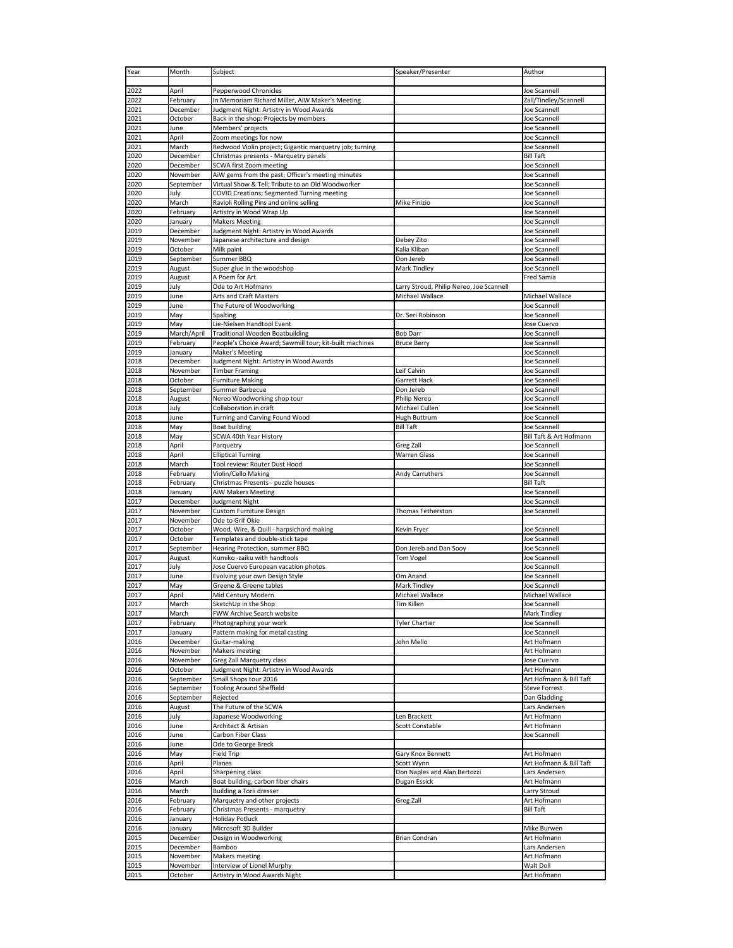| Year         | Month                | Subject                                                                                    | Speaker/Presenter                        | Author                                  |
|--------------|----------------------|--------------------------------------------------------------------------------------------|------------------------------------------|-----------------------------------------|
|              |                      |                                                                                            |                                          |                                         |
| 2022         | April                | Pepperwood Chronicles                                                                      |                                          | Joe Scannell                            |
| 2022<br>2021 | February<br>December | In Memoriam Richard Miller, AiW Maker's Meeting<br>Judgment Night: Artistry in Wood Awards |                                          | Zall/Tindley/Scannell<br>Joe Scannell   |
| 2021         | October              | Back in the shop: Projects by members                                                      |                                          | Joe Scannell                            |
| 2021         | June                 | Members' projects                                                                          |                                          | Joe Scannell                            |
| 2021         | April                | Zoom meetings for now                                                                      |                                          | Joe Scannell                            |
| 2021         | March                | Redwood Violin project; Gigantic marquetry job; turning                                    |                                          | Joe Scannell                            |
| 2020         | December             | Christmas presents - Marquetry panels                                                      |                                          | <b>Bill Taft</b>                        |
| 2020         | December             | SCWA first Zoom meeting                                                                    |                                          | Joe Scannell                            |
| 2020         | November             | AiW gems from the past; Officer's meeting minutes                                          |                                          | Joe Scannell                            |
| 2020         | September            | Virtual Show & Tell; Tribute to an Old Woodworker                                          |                                          | Joe Scannell                            |
| 2020         | July                 | COVID Creations; Segmented Turning meeting                                                 |                                          | Joe Scannell                            |
| 2020         | March                | Ravioli Rolling Pins and online selling                                                    | Mike Finizio                             | Joe Scannell                            |
| 2020<br>2020 | February<br>January  | Artistry in Wood Wrap Up<br><b>Makers Meeting</b>                                          |                                          | Joe Scannell<br>Joe Scannell            |
| 2019         | December             | Judgment Night: Artistry in Wood Awards                                                    |                                          | Joe Scannell                            |
| 2019         | November             | Japanese architecture and design                                                           | Debey Zito                               | Joe Scannell                            |
| 2019         | October              | Milk paint                                                                                 | Kalia Kliban                             | Joe Scannell                            |
| 2019         | September            | Summer BBQ                                                                                 | Don Jereb                                | Joe Scannell                            |
| 2019         | August               | Super glue in the woodshop                                                                 | Mark Tindley                             | Joe Scannell                            |
| 2019         | August               | A Poem for Art                                                                             |                                          | Fred Samia                              |
| 2019         | July                 | Ode to Art Hofmann                                                                         | Larry Stroud, Philip Nereo, Joe Scannell |                                         |
| 2019         | June                 | Arts and Craft Masters                                                                     | Michael Wallace                          | Michael Wallace                         |
| 2019         | June                 | The Future of Woodworking                                                                  |                                          | Joe Scannell                            |
| 2019         | May                  | Spalting                                                                                   | Dr. Seri Robinson                        | Joe Scannell                            |
| 2019<br>2019 | May<br>March/April   | Lie-Nielsen Handtool Event<br><b>Traditional Wooden Boatbuilding</b>                       | <b>Bob Darr</b>                          | Jose Cuervo<br>Joe Scannell             |
| 2019         | February             | People's Choice Award; Sawmill tour; kit-built machines                                    | <b>Bruce Berry</b>                       | Joe Scannell                            |
| 2019         | January              | <b>Maker's Meeting</b>                                                                     |                                          | Joe Scannell                            |
| 2018         | December             | Judgment Night: Artistry in Wood Awards                                                    |                                          | Joe Scannell                            |
| 2018         | November             | <b>Timber Framing</b>                                                                      | Leif Calvin                              | Joe Scannell                            |
| 2018         | October              | <b>Furniture Making</b>                                                                    | Garrett Hack                             | Joe Scannell                            |
| 2018         | September            | Summer Barbecue                                                                            | Don Jereb                                | Joe Scannell                            |
| 2018         | August               | Nereo Woodworking shop tour                                                                | Philip Nereo                             | Joe Scannell                            |
| 2018         | July                 | Collaboration in craft                                                                     | Michael Cullen                           | Joe Scannell                            |
| 2018         | June                 | Turning and Carving Found Wood                                                             | Hugh Buttrum                             | Joe Scannell                            |
| 2018         | May                  | <b>Boat building</b>                                                                       | <b>Bill Taft</b>                         | Joe Scannell                            |
| 2018<br>2018 | May<br>April         | SCWA 40th Year History<br>Parquetry                                                        | Greg Zall                                | Bill Taft & Art Hofmann<br>Joe Scannell |
| 2018         | April                | <b>Elliptical Turning</b>                                                                  | <b>Warren Glass</b>                      | Joe Scannell                            |
| 2018         | March                | Tool review: Router Dust Hood                                                              |                                          | Joe Scannell                            |
| 2018         | February             | Violin/Cello Making                                                                        | Andy Carruthers                          | Joe Scannell                            |
| 2018         | February             | Christmas Presents - puzzle houses                                                         |                                          | <b>Bill Taft</b>                        |
| 2018         | January              | <b>AiW Makers Meeting</b>                                                                  |                                          | Joe Scannell                            |
| 2017         | December             | Judgment Night                                                                             |                                          | Joe Scannell                            |
| 2017         | November             | Custom Furniture Design                                                                    | Thomas Fetherston                        | Joe Scannell                            |
| 2017         | November             | Ode to Grif Okie                                                                           |                                          |                                         |
| 2017         | October              | Wood, Wire, & Quill - harpsichord making                                                   | Kevin Fryer                              | Joe Scannell                            |
| 2017<br>2017 | October<br>September | Templates and double-stick tape<br>Hearing Protection, summer BBQ                          | Don Jereb and Dan Sooy                   | Joe Scannell<br>Joe Scannell            |
| 2017         | August               | Kumiko -zaiku with handtools                                                               | <b>Tom Vogel</b>                         | Joe Scannell                            |
| 2017         | July                 | Jose Cuervo European vacation photos                                                       |                                          | Joe Scannell                            |
| 2017         | June                 | Evolving your own Design Style                                                             | Om Anand                                 | Joe Scannell                            |
| 2017         | May                  | Greene & Greene tables                                                                     | Mark Tindley                             | Joe Scannell                            |
| 2017         | April                | Mid Century Modern                                                                         | Michael Wallace                          | Michael Wallace                         |
| 2017         | March                | SketchUp in the Shop                                                                       | Tim Killen                               | Joe Scannell                            |
| 2017         | March                | FWW Archive Search website                                                                 |                                          | Mark Tindley                            |
| 2017         | February             | Photographing your work                                                                    | <b>Tyler Chartier</b>                    | Joe Scannell                            |
| 2017         | January              | Pattern making for metal casting                                                           |                                          | Joe Scannell                            |
| 2016         | December<br>November | Guitar-making<br>Makers meeting                                                            | John Mello                               | Art Hofmann<br>Art Hofmann              |
| 2016<br>2016 | November             | Greg Zall Marquetry class                                                                  |                                          | Jose Cuervo                             |
| 2016         | October              | Judgment Night: Artistry in Wood Awards                                                    |                                          | Art Hofmann                             |
| 2016         | September            | Small Shops tour 2016                                                                      |                                          | Art Hofmann & Bill Taft                 |
| 2016         | September            | <b>Tooling Around Sheffield</b>                                                            |                                          | <b>Steve Forrest</b>                    |
| 2016         | September            | Rejected                                                                                   |                                          | Dan Gladding                            |
| 2016         | August               | The Future of the SCWA                                                                     |                                          | Lars Andersen                           |
| 2016         | July                 | Japanese Woodworking                                                                       | Len Brackett                             | Art Hofmann                             |
| 2016         | June                 | Architect & Artisan                                                                        | Scott Constable                          | Art Hofmann                             |
| 2016         | June                 | Carbon Fiber Class                                                                         |                                          | Joe Scannell                            |
| 2016         | June                 | Ode to George Breck                                                                        |                                          |                                         |
| 2016<br>2016 | May<br>April         | <b>Field Trip</b><br>Planes                                                                | Gary Knox Bennett<br>Scott Wynn          | Art Hofmann<br>Art Hofmann & Bill Taft  |
| 2016         | April                | Sharpening class                                                                           | Don Naples and Alan Bertozzi             | Lars Andersen                           |
| 2016         |                      |                                                                                            | Dugan Essick                             | Art Hofmann                             |
|              |                      |                                                                                            |                                          |                                         |
| 2016         | March<br>March       | Boat building, carbon fiber chairs<br>Building a Torii dresser                             |                                          | Larry Stroud                            |
| 2016         | February             | Marquetry and other projects                                                               | Greg Zall                                | Art Hofmann                             |
| 2016         | February             | Christmas Presents - marquetry                                                             |                                          | <b>Bill Taft</b>                        |
| 2016         | January              | <b>Holiday Potluck</b>                                                                     |                                          |                                         |
| 2016         | January              | Microsoft 3D Builder                                                                       |                                          | Mike Burwen                             |
| 2015         | December             | Design in Woodworking                                                                      | <b>Brian Condran</b>                     | Art Hofmann                             |
| 2015         | December             | Bamboo                                                                                     |                                          | Lars Andersen                           |
| 2015         | November             | <b>Makers meeting</b>                                                                      |                                          | Art Hofmann                             |
| 2015<br>2015 | November<br>October  | Interview of Lionel Murphy<br>Artistry in Wood Awards Night                                |                                          | Walt Doll<br>Art Hofmann                |